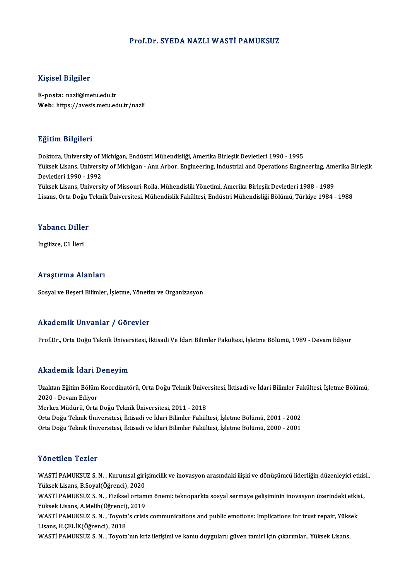### Prof.Dr. SYEDA NAZLI WASTİ PAMUKSUZ

### Kişisel Bilgiler

E-posta: nazli@metu.edu.tr Web: https://avesis.metu.edu.tr/nazli

### Eğitim Bilgileri

<mark>Eğitim Bilgileri</mark><br>Doktora, University of Michigan, Endüstri Mühendisliği, Amerika Birleşik Devletleri 1990 - 1995<br>Yüksek Lisans, University of Mishigan, Ann Arber, Engineering, Industrial and Operations Engin Yüksek Lisans, University of Michigan - Ann Arbor, Engineering, Industrial and Operations Engineering, Amerika Birleşik<br>Devletleri 1990 - 1992 Doktora, University of N<br>Yüksek Lisans, Universi<br>Devletleri 1990 - 1992<br><sup>Vülrook Lisans, Universi</sup> Yüksek Lisans, University of Missouri-Rolla, Mühendislik Yönetimi, Amerika Birleşik Devletleri 1988 - 1989

Lisans, Orta Doğu Teknik Üniversitesi, Mühendislik Fakültesi, Endüstri Mühendisliği Bölümü, Türkiye 1984 - 1988

### Yabancı Diller

İngilizce,C1 İleri

### Araştırma Alanları

Sosyal ve Beşeri Bilimler, İşletme, Yönetim ve Organizasyon

### Akademik Unvanlar / Görevler

Prof.Dr., Orta Doğu Teknik Üniversitesi, İktisadi Ve İdari Bilimler Fakültesi, İşletme Bölümü, 1989 - Devam Ediyor

### Akademik İdari Deneyim

**Akademik İdari Deneyim**<br>Uzaktan Eğitim Bölüm Koordinatörü, Orta Doğu Teknik Üniversitesi, İktisadi ve İdari Bilimler Fakültesi, İşletme Bölümü,<br>2020 - Devam Ediyar 111120 - 111121 - 1221<br>Uzaktan Eğitim Bölüm<br>2020 - Devam Ediyor Uzaktan Eğitim Bölüm Koordinatörü, Orta Doğu Teknik Ünive<br>2020 - Devam Ediyor<br>Merkez Müdürü, Orta Doğu Teknik Üniversitesi, 2011 - 2018<br>Orta Doğu Teknik Üniversitesi, İktisadi ve İdari Bilimler Fekül 2020 - Devam Ediyor<br>Merkez Müdürü, Orta Doğu Teknik Üniversitesi, 2011 - 2018<br>Orta Doğu Teknik Üniversitesi, İktisadi ve İdari Bilimler Fakültesi, İşletme Bölümü, 2001 - 2002<br>Orta Doğu Teknik Üniversitesi, İktisadi ve İdar Merkez Müdürü, Orta Doğu Teknik Üniversitesi, 2011 - 2018<br>Orta Doğu Teknik Üniversitesi, İktisadi ve İdari Bilimler Fakültesi, İşletme Bölümü, 2001 - 2002<br>Orta Doğu Teknik Üniversitesi, İktisadi ve İdari Bilimler Fakültesi

Orta Doğu Teknik Üniversitesi, İktisadi ve İdari Bilimler Fakültesi, İşletme Bölümü, 2000 - 2001<br>Yönetilen Tezler

Yönetilen Tezler<br>WASTİ PAMUKSUZ S. N. , Kurumsal girişimcilik ve inovasyon arasındaki ilişki ve dönüşümcü liderliğin düzenleyici etkisi.,<br>Yükask Lisana, B.Saval(Öğrangi), 2020 YÜKSEKLIFT PERIST<br>WASTİ PAMUKSUZ S. N. , Kurumsal giri<br>Yüksek Lisans, B.Soyal(Öğrenci), 2020<br>WASTİ BAMUKSUZ S. N. , Fizikool ortam WASTİ PAMUKSUZ S.N. , Kurumsal girişimcilik ve inovasyon arasındaki ilişki ve dönüşümcü liderliğin düzenleyici etkis<br>Yüksek Lisans, B.Soyal(Öğrenci), 2020<br>WASTİ PAMUKSUZ S. N. , Fiziksel ortamın önemi: teknoparkta sosyal s

Yüksek Lisans, B.Soyal(Öğrenci), 2020<br>WASTİ PAMUKSUZ S. N. , Fiziksel ortamın önemi: teknoparkta sosyal sermaye gelişiminin inovasyon üzerindeki etkisi.,<br>Yüksek Lisans, A.Melih(Öğrenci), 2019 WASTİ PAMUKSUZ S.N. , Fiziksel ortamın önemi: teknoparkta sosyal sermaye gelişiminin inovasyon üzerindeki etkis<br>Yüksek Lisans, A.Melih(Öğrenci), 2019<br>WASTİ PAMUKSUZ S.N. , Toyota's crisis communications and public emotions

Yüksek Lisans, A.Melih(Öğrenci)<br>WASTİ PAMUKSUZ S. N. , Toyota<br>Lisans, H.ÇELİK(Öğrenci), 2018<br>WASTİ PAMUKSUZ S. N. . Toyota WASTİ PAMUKSUZ S. N. , Toyota's crisis communications and public emotions: Implications for trust repair, Yüks<br>Lisans, H.ÇELİK(Öğrenci), 2018<br>WASTİ PAMUKSUZ S. N. , Toyota'nın kriz iletişimi ve kamu duyguları: güven tamiri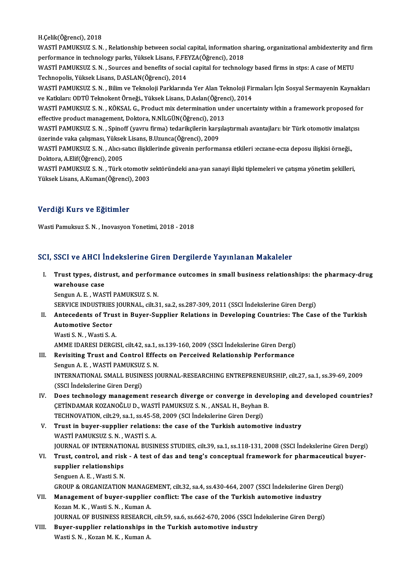H.Çelik(Öğrenci),2018

H.Çelik(Öğrenci), 2018<br>WASTİ PAMUKSUZ S. N. , Relationship between social capital, information sharing, organizational ambidexterity and firm<br>Performange in technology parks. Vülgel: Lisans, E EEVZ A(Öğrensi), 2019 H.Çelik(Öğrenci), 2018<br>WASTİ PAMUKSUZ S. N. , Relationship between social capital, information s<br>performance in technology parks, Yüksek Lisans, F.FEYZA(Öğrenci), 2018<br>WASTİ RAMUKSUZ S. N. . Sourges and benefita of social WASTİ PAMUKSUZ S. N. , Relationship between social capital, information sharing, organizational ambidexterity and<br>performance in technology parks, Yüksek Lisans, F.FEYZA(Öğrenci), 2018<br>WASTİ PAMUKSUZ S. N. , Sources and be performance in technology parks, Yüksek Lisans, F.FEYZA(Öğrenci), 2018<br>WASTİ PAMUKSUZ S. N. , Sources and benefits of social capital for technology based firms in stps: A case of METU<br>Technopolis, Yüksek Lisans, D.ASLAN(Öğ WASTİ PAMUKSUZ S. N. , Sources and benefits of social capital for technology based firms in stps: A case of METU<br>Technopolis, Yüksek Lisans, D.ASLAN(Öğrenci), 2014<br>WASTİ PAMUKSUZ S. N. , Bilim ve Teknoloji Parklarında Yer Technopolis, Yüksek Lisans, D.ASLAN(Öğrenci), 2014<br>WASTİ PAMUKSUZ S. N. , Bilim ve Teknoloji Parklarında Yer Alan Teknoloji Fir<br>ve Katkıları: ODTÜ Teknokent Örneği., Yüksek Lisans, D.Aslan(Öğrenci), 2014<br>WASTİ PAMUKSUZ S.

WASTİ PAMUKSUZ S. N. , Bilim ve Teknoloji Parklarında Yer Alan Teknoloji Firmaları İçin Sosyal Sermayenin Kaynakla<br>ve Katkıları: ODTÜ Teknokent Örneği., Yüksek Lisans, D.Aslan(Öğrenci), 2014<br>WASTİ PAMUKSUZ S. N. , KÖKSAL G

ve Katkıları: ODTÜ Teknokent Örneği., Yüksek Lisans, D.Aslan(Öğren<br>WASTİ PAMUKSUZ S. N. , KÖKSAL G., Product mix determination und<br>effective product management, Doktora, N.NİLGÜN(Öğrenci), 2013<br>WASTİ PAMUKSUZ S. N., Spinef WASTİ PAMUKSUZ S.N. , KÖKSAL G., Product mix determination under uncertainty within a framework proposed fo<br>effective product management, Doktora, N.NİLGÜN(Öğrenci), 2013<br>WASTİ PAMUKSUZ S. N. , Spinoff (yavru firma) tedari

effective product management, Doktora, N.NİLGÜN(Öğrenci), 201<br>WASTİ PAMUKSUZ S. N. , Spinoff (yavru firma) tedarikçilerin karş<br>üzerinde vaka çalışması, Yüksek Lisans, B.Uzunca(Öğrenci), 2009<br>WASTİ PAMUKSUZ S. N. , Alıq sat WASTİ PAMUKSUZ S.N., Spinoff (yavru firma) tedarikçilerin karşılaştırmalı avantajları: bir Türk otomotiv imalatç<br>üzerinde vaka çalışması, Yüksek Lisans, B.Uzunca(Öğrenci), 2009<br>WASTİ PAMUKSUZ S.N., Alıcı-satıcı ilişkilerin

üzerinde vaka çalışması, Yüksek Lisans, B.Uzunca(Öğrenci), 2009<br>WASTİ PAMUKSUZ S. N. , Alıcı-satıcı ilişkilerinde güvenin performansa etkileri :eczane-ecza deposu ilişkisi örneği.,<br>Doktora, A.Elif(Öğrenci), 2005 WASTİ PAMUKSUZ S. N. , Alıcı-satıcı ilişkilerinde güvenin performansa etkileri :eczane-ecza deposu ilişkisi örneği.,<br>Doktora, A.Elif(Öğrenci), 2005<br>WASTİ PAMUKSUZ S. N. , Türk otomotiv sektöründeki ana-yan sanayi ilişki ti

Doktora, A.Elif(Öğrenci), 2005<br>WASTİ PAMUKSUZ S. N. , Türk otomotiv s<br>Yüksek Lisans, A.Kuman(Öğrenci), 2003 Yüksek Lisans, A.Kuman(Öğrenci), 2003<br>Verdiği Kurs ve Eğitimler

Wasti Pamuksuz S.N., Inovasyon Yonetimi, 2018 - 2018

### SCI, SSCI ve AHCI İndekslerine Giren Dergilerde Yayınlanan Makaleler

I. Trust types, distrust, and performance outcomes in smal business relationships: the pharmacy-drug warehouse<br>Trust types, dist<br>warehouse case<br>Sengun A E WAS Trust types, distrust, and perform<br>warehouse case<br>Sengun A. E. , WASTİ PAMUKSUZ S. N.<br>SERVICE INDUSTRIES JOURNAL .cilt 2. warehouse case<br>Sengun A. E. , WASTİ PAMUKSUZ S. N.<br>SERVICE INDUSTRIES JOURNAL, cilt.31, sa.2, ss.287-309, 2011 (SSCI İndekslerine Giren Dergi)<br>Antecedente of Trust in Buyer Sunnlier Beletiens in Develening Countries: The C

# Sengun A. E. , WASTİ PAMUKSUZ S. N.<br>SERVICE INDUSTRIES JOURNAL, cilt.31, sa.2, ss.287-309, 2011 (SSCI İndekslerine Giren Dergi)<br>II. Antecedents of Trust in Buyer-Supplier Relations in Developing Countries: The Case of SERVICE INDUSTRIES<br>Antecedents of Tru<br>Automotive Sector<br>Westi S. N. - Westi S. 4 Antecedents of Trus<br>Automotive Sector<br>Wasti S.N., Wasti S.A.<br>AMME IDARESI DERCI

Automotive Sector<br>Wasti S. N. , Wasti S. A.<br>AMME IDARESI DERGISI, cilt.42, sa.1, ss.139-160, 2009 (SSCI İndekslerine Giren Dergi)

## Wasti S. N. , Wasti S. A.<br>AMME IDARESI DERGISI, cilt.42, sa.1, ss.139-160, 2009 (SSCI İndekslerine Giren Dergi)<br>III. Revisiting Trust and Control Effects on Perceived Relationship Performance<br>Sengun A. E. WASTİ PAMUKSUZ S. AMME IDARESI DERGISI, cilt.42, sa.1, :<br>Revisiting Trust and Control Effee<br>Sengun A. E. , WASTİ PAMUKSUZ S. N.<br>INTERNATIONAL SMALL BUSINESS IG INTERNATIONAL SMALL BUSINESS JOURNAL-RESEARCHING ENTREPRENEURSHIP, cilt.27, sa.1, ss.39-69, 2009<br>(SSCI İndekslerine Giren Dergi) Sengun A. E., WASTİ PAMUKSUZ S. N. INTERNATIONAL SMALL BUSINESS JOURNAL-RESEARCHING ENTREPRENEURSHIP, cilt.27, sa.1, ss.39-69, 2009<br>(SSCI İndekslerine Giren Dergi)<br>IV. Does technology management research diverge or converge in developing and developed count

- (SSCI İndekslerine Giren Dergi)<br>Does technology management research diverge or converge in deve<br>ÇETİNDAMAR KOZANOĞLU D., WASTİ PAMUKSUZ S.N. , ANSAL H., Beyhan B.<br>TECHNOVATION, cilt 29, sa 1, ss 45, 59, 2009 (SCI İndeksler Does technology management research diverge or converge in dev<br>ÇETİNDAMAR KOZANOĞLU D., WASTİ PAMUKSUZ S. N. , ANSAL H., Beyhan l<br>TECHNOVATION, cilt.29, sa.1, ss.45-58, 2009 (SCI İndekslerine Giren Dergi)<br>Trust in buyer su CETINDAMAR KOZANOĞLU D., WASTI PAMUKSUZ S. N. , ANSAL H., Beyhan B.<br>TECHNOVATION, cilt.29, sa.1, ss.45-58, 2009 (SCI Indekslerine Giren Dergi)<br>V. Trust in buyer-supplier relations: the case of the Turkish automotive indust
- TECHNOVATION, cilt.29, sa.1, ss.45-58<br>Trust in buyer-supplier relations<br>WASTİ PAMUKSUZ S. N. , WASTİ S. A.<br>JOUPNAL OF INTERNATIONAL PUSIN WASTİ PAMUKSUZ S. N. , WASTİ S. A.<br>JOURNAL OF INTERNATIONAL BUSINESS STUDIES, cilt.39, sa.1, ss.118-131, 2008 (SSCI İndekslerine Giren Dergi) WASTİ PAMUKSUZ S. N. , WASTİ S. A.<br>JOURNAL OF INTERNATIONAL BUSINESS STUDIES, cilt.39, sa.1, ss.118-131, 2008 (SSCI İndekslerine Giren Dergi<br>VI. Trust, control, and risk - A test of das and teng's conceptual framework
- **JOURNAL OF INTERNATION**<br>Trust, control, and rish<br>supplier relationships<br>Senguen A E Westi S N Trust, control, and risk<br>supplier relationships<br>Senguen A.E., Wasti S.N.<br>CROUP & ORCANIZATION supplier relationships<br>Senguen A. E. , Wasti S. N.<br>GROUP & ORGANIZATION MANAGEMENT, cilt.32, sa.4, ss.430-464, 2007 (SSCI İndekslerine Giren Dergi)<br>Management of buyer sunnliar senflist: The sase of the Turkish autometive

Senguen A. E. , Wasti S. N.<br>GROUP & ORGANIZATION MANAGEMENT, cilt.32, sa.4, ss.430-464, 2007 (SSCI İndekslerine Giren<br>VII. Management of buyer-supplier conflict: The case of the Turkish automotive industry<br>Keren M. K. West GROUP & ORGANIZATION MANAGE<br>Management of buyer-supplier<br>Kozan M. K. , Wasti S. N. , Kuman A.<br>JOUPNAL OF PUSINESS PESEARCH Management of buyer-supplier conflict: The case of the Turkish automotive industry<br>Kozan M. K. , Wasti S. N. , Kuman A.<br>JOURNAL OF BUSINESS RESEARCH, cilt.59, sa.6, ss.662-670, 2006 (SSCI İndekslerine Giren Dergi)<br>Buyen su

Kozan M. K., Wasti S. N., Kuman A.<br>JOURNAL OF BUSINESS RESEARCH, cilt.59, sa.6, ss.662-670, 2006 (SSCI In VIII. Buyer-supplier relationships in the Turkish automotive industry Wasti S. N., Kozan M. K., Kuman A. JOURNAL OF BUSINESS RESEARCH<br><mark>Buyer-supplier relationships ir</mark><br>Wasti S. N. , Kozan M. K. , Kuman A.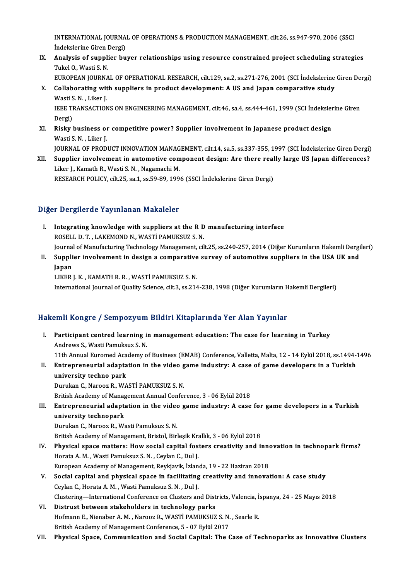INTERNATIONAL JOURNAL OF OPERATIONS & PRODUCTION MANAGEMENT, cilt.26, ss.947-970, 2006 (SSCI<br>Indekalarine Circo Dergi) **INTERNATIONAL JOURNA**<br>İndekslerine Giren Dergi)<br>Analygia of sunnlian bu INTERNATIONAL JOURNAL OF OPERATIONS & PRODUCTION MANAGEMENT, cilt.26, ss.947-970, 2006 (SSCI<br>Indekslerine Giren Dergi)<br>IX. Analysis of supplier buyer relationships using resource constrained project scheduling strategies<br>T

İndekslerine Giren Dergi)<br>IX. Analysis of supplier buyer relationships using resource constrained project scheduling strategies<br>Tukel O., Wasti S. N. Analysis of supplier buyer relationships using resource constrained project scheduling strategies<br>Tukel 0., Wasti S. N.<br>EUROPEAN JOURNAL OF OPERATIONAL RESEARCH, cilt.129, sa.2, ss.271-276, 2001 (SCI İndekslerine Giren Der

X. Collaborating with suppliers in product development: A US and Japan comparative study EUROPEAN JOURNA<br>Collaborating wit<br>Wasti S. N. , Liker J.<br>JEEE TPANSACTION Wasti S. N., Liker J.

IEEE TRANSACTIONS ON ENGINEERING MANAGEMENT, cilt.46, sa.4, ss.444-461, 1999 (SCI İndekslerine Giren<br>Dergi) IEEE TRANSACTIONS ON ENGINEERING MANAGEMENT, cilt46, sa.4, ss.444-461, 1999 (SCI İndeksler<br>Dergi)<br>XI. Risky business or competitive power? Supplier involvement in Japanese product design<br>Westi S.N. Liker L

- Dergi)<br><mark>Risky business or</mark><br>Wasti S. N. , Liker J.<br>JOUPNAL OF PROD. Wasti S. N. , Liker J.<br>JOURNAL OF PRODUCT INNOVATION MANAGEMENT, cilt.14, sa.5, ss.337-355, 1997 (SCI İndekslerine Giren Dergi)
- XII. Supplier involvement in automotive component design: Are there really large US Japan differences? Liker J., Kamath R., Wasti S. N., Nagamachi M. RESEARCH POLICY, cilt.25, sa.1, ss.59-89, 1996 (SSCI İndekslerine Giren Dergi)

### Diğer Dergilerde Yayınlanan Makaleler

- Iger Dergilerde Yayınlanan Makaleler<br>I. Integrating knowledge with suppliers at the R D manufacturing interface<br>ROSELL D T, LAKEMOND N, WASTI BAMIKSIIZ S N Rosegillor all ray intention relationships at the R D<br>ROSELL D.T., LAKEMOND N., WASTİ PAMUKSUZ S. N.<br>Journal of Manufacturing Technology Managament, cil ROSELL D. T., LAKEMOND N., WASTİ PAMUKSUZ S. N.<br>Journal of Manufacturing Technology Management, cilt.25, ss.240-257, 2014 (Diğer Kurumların Hakemli Dergileri) ROSELL D. T. , LAKEMOND N., WASTİ PAMUKSUZ S. N.<br>Journal of Manufacturing Technology Management, cilt.25, ss.240-257, 2014 (Diğer Kurumların Hakemli Dergi<br>II. Supplier involvement in design a comparative survey of auto
- Journal<br><mark>Suppli</mark><br>Japan<br>LIVEP Supplier involvement in design a comparative<br>Japan<br>LIKER J. K. , KAMATH R. R. , WASTİ PAMUKSUZ S. N.<br>International Journal of Quality Science, silt 3, cs 314 Japan<br>LIKER J. K. , KAMATH R. R. , WASTİ PAMUKSUZ S. N.<br>International Journal of Quality Science, cilt.3, ss.214-238, 1998 (Diğer Kurumların Hakemli Dergileri)

### Hakemli Kongre / Sempozyum Bildiri Kitaplarında Yer Alan Yayınlar

- akemli Kongre / Sempozyum Bildiri Kitaplarında Yer Alan Yayınlar<br>I. Participant centred learning in management education: The case for learning in Turkey<br>Andrews S. Westi Bemulsus S. N Andrews S., Wasti Pamuksuz S.N.<br>Participant centred learning is<br>Andrews S., Wasti Pamuksuz S.N. Andrews S., Wasti Pamuksuz S. N.<br>11th Annual Euromed Academy of Business (EMAB) Conference, Valletta, Malta, 12 - 14 Eylül 2018, ss.1494-1496 Andrews S., Wasti Pamuksuz S. N.<br>11th Annual Euromed Academy of Business (EMAB) Conference, Valletta, Malta, 12 - 14 Eylül 2018, ss.1494-1<br>II. Entrepreneurial adaptation in the video game industry: A case of game developer 11th Annual Euromed Aca<br>Entrepreneurial adapta<br>university techno park<br>Purukan C. Naroos B. WA Entrepreneurial adaptation in the video g<br>university techno park<br>Durukan C., Narooz R., WASTİ PAMUKSUZ S. N.<br>Pritish Academy of Management Annual Cenfel university techno park<br>Durukan C., Narooz R., WASTİ PAMUKSUZ S. N.<br>British Academy of Management Annual Conference, 3 - 06 Eylül 2018<br>Entrenrencurial edentation in the video game industry: A sese
	-
- Durukan C., Narooz R., WASTİ PAMUKSUZ S. N.<br>British Academy of Management Annual Conference, 3 06 Eylül 2018<br>III. Entrepreneurial adaptation in the video game industry: A case for game developers in a Turkish<br>university British Academy of Manag<br>Entrepreneurial adapt:<br>university technopark<br>Dunykan C. Naroor B. We

DurukanC.,NaroozR.,WastiPamuksuz S.N.

British Academy of Management, Bristol, Birleşik Krallık, 3 - 06 Eylül 2018

- Durukan C., Narooz R., Wasti Pamuksuz S. N.<br>British Academy of Management, Bristol, Birleşik Krallık, 3 06 Eylül 2018<br>IV. Physical space matters: How social capital fosters creativity and innovation in technopark firms?<br> Horata A. M. , Wasti Pamuksuz S. N. , Ceylan C., Dul J.<br>European Academy of Management, Reykjavik, İzlanda, 19 - 22 Haziran 2018 Physical space matters: How social capital fosters creativity and inner<br>Horata A. M. , Wasti Pamuksuz S. N. , Ceylan C., Dul J.<br>European Academy of Management, Reykjavik, İzlanda, 19 - 22 Haziran 2018<br>Social sanital and nh
- V. Social capital and physical space in facilitating creativity and innovation: A case study CeylanC.,HorataA.M. ,WastiPamuksuz S.N. ,Dul J. Social capital and physical space in facilitating creativity and innovation: A case study<br>Ceylan C., Horata A. M. , Wasti Pamuksuz S. N. , Dul J.<br>Clustering—International Conference on Clusters and Districts, Valencia, İsp Ceylan C., Horata A. M. , Wasti Pamuksuz S. N. , Dul J.<br>Clustering—International Conference on Clusters and Dist<br>VI. Distrust between stakeholders in technology parks<br>Hefmann E. Nienaber A. M. Naneer B. WASTI BAMUKSUZ
- Clustering—International Conference on Clusters and Districts, Valencia, İ.<br>Distrust between stakeholders in technology parks<br>Hofmann E., Nienaber A. M. , Narooz R., WASTİ PAMUKSUZ S.N. , Searle R.<br>Pritish Asedemy of Manag Distrust between stakeholders in technology parks<br>Hofmann E., Nienaber A. M. , Narooz R., WASTİ PAMUKSUZ S. N.<br>British Academy of Management Conference, 5 - 07 Eylül 2017<br>Physisal Spase, Communisation and Sosial Capital: T
- British Academy of Management Conference, 5 07 Eylül 2017<br>VII. Physical Space, Communication and Social Capital: The Case of Technoparks as Innovative Clusters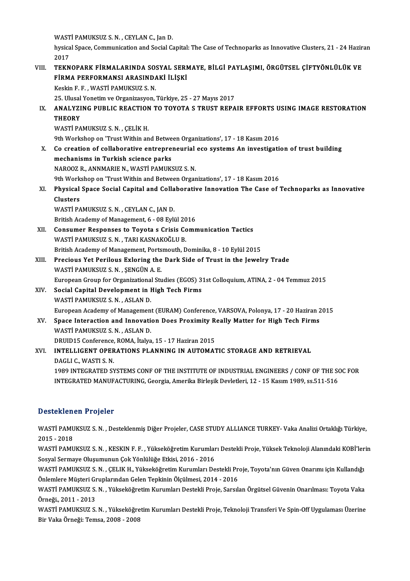WASTİ PAMUKSUZ S.N., CEYLAN C., Jan D.

WASTİ PAMUKSUZ S. N. , CEYLAN C., Jan D.<br>hysical Space, Communication and Social Capital: The Case of Technoparks as Innovative Clusters, 21 - 24 Haziran WAST<br>hysica<br>2017<br>TEKN hysical Space, Communication and Social Capital: The Case of Technoparks as Innovative Clusters, 21 - 24 Hazir<br>2017<br>VIII. TEKNOPARK FİRMALARINDA SOSYAL SERMAYE, BİLGİ PAYLAŞIMI, ÖRGÜTSEL ÇİFTYÖNLÜLÜK VE

# 2017<br>TEKNOPARK FİRMALARINDA SOSYAL SERMAYE, BİLGİ PAYLAŞIMI, ÖRGÜTSEL ÇİFTYÖNLÜLÜK VE<br>FİRMA PERFORMANSI ARASINDAKİ İLİŞKİ FİRMA PERFORMANSI ARASINDAKİ İLİŞKİ<br>Keskin F. F. , WASTİ PAMUKSUZ S. N.<br>25. Ulusal Yonetim ve Organizasyon, Türkiye, 25 - 27 Mayıs 2017<br>ANALYZING PURLIG REAGTION TO TOYOTA S TRUST RERA

KeskinF.F. ,WASTİPAMUKSUZ S.N.

IX. ANALYZING PUBLIC REACTION TO TOYOTA S TRUST REPAIR EFFORTS USING IMAGE RESTORATION 25. Ulusal<br>ANALYZI<br>THEORY<br>WASTI BA THEORY<br>WASTİ PAMUKSUZ S. N. , ÇELİK H.<br>9th Workshop on 'Trust Within and Between Organizations', 17 - 18 Kasım 2016<br>Co areation of sollaborative entrenrenevrial ese systems An investisati

WASTİ PAMUKSUZ S.N., ÇELİK H.

X. Co creation of collaborative entrepreneurial eco systems An investigation of trust building mechanisms in Turkish science parks 9th Workshop on 'Trust Within and Betwe<br>Co creation of collaborative entrepre<br>mechanisms in Turkish science parks<br>NAPOOZ B. ANNMABIE N. WASTI BAMUZY NAROOZR.,ANNMARIEN.,WASTİPAMUKSUZ S.N. mechanisms in Turkish science parks<br>NAROOZ R., ANNMARIE N., WASTİ PAMUKSUZ S. N.<br>9th Workshop on 'Trust Within and Between Organizations', 17 - 18 Kasım 2016<br>Physical Space Secial Capital and Callaborative Innovation The C NAROOZ R., ANNMARIE N., WASTİ PAMUKSUZ S. N.<br>9th Workshop on 'Trust Within and Between Organizations', 17 - 18 Kasım 2016<br>XI. Physical Space Social Capital and Collaborative Innovation The Case of Technoparks as Innova

# **9th Work<br>Physical<br>Clusters<br>WASTI PA** Physical Space Social Capital and Colla<br>Clusters<br>WASTİ PAMUKSUZ S.N. , CEYLAN C., JAN D.<br>Pritish Asedemu of Manasement 6, 09 Evli Clusters<br>WASTİ PAMUKSUZ S. N. , CEYLAN C., JAN D.<br>British Academy of Management, 6 - 08 Eylül 2016<br>Consumer Besponses to Tousta e Crisis Comn

- WASTİ PAMUKSUZ S. N. , CEYLAN C., JAN D.<br>British Academy of Management, 6 08 Eylül 2016<br>XII. Consumer Responses to Toyota s Crisis Communication Tactics<br>WASTİ PAMUKSUZ S. N. TARI KASNAKOĞU I P. British Academy of Management, 6 - 08 Eylül 20<br>Consumer Responses to Toyota s Crisis Co<br>WASTİ PAMUKSUZ S.N. , TARI KASNAKOĞLU B. Consumer Responses to Toyota s Crisis Communication Tactics<br>WASTİ PAMUKSUZ S. N. , TARI KASNAKOĞLU B.<br>British Academy of Management, Portsmouth, Dominika, 8 - 10 Eylül 2015<br>Presious Vet Perilous Exlering the Dark Side of T WASTİ PAMUKSUZ S. N. , TARI KASNAKOĞLU B.<br>British Academy of Management, Portsmouth, Dominika, 8 - 10 Eylül 2015<br>XIII. Precious Yet Perilous Exloring the Dark Side of Trust in the Jewelry Trade<br>WASTİ PAMUKSUZ S. N. SENCÜN
- British Academy of Management, Ports<br>Precious Yet Perilous Exloring the<br>WASTİ PAMUKSUZ S.N. , ŞENGÜN A.E.<br>European Croup for Organizational Stu Precious Yet Perilous Exloring the Dark Side of Trust in the Jewelry Trade<br>WASTİ PAMUKSUZ S. N. , ŞENGÜN A. E.<br>European Group for Organizational Studies (EGOS) 31st Colloquium, ATINA, 2 - 04 Temmuz 2015<br>Secial Capital Deve WASTİ PAMUKSUZ S. N. , ŞENGÜN A. E.<br>European Group for Organizational Studies (EGOS) 3<br>XIV. Social Capital Development in High Tech Firms<br>WASTİ PAMUKSUZ S. N. ASLAN D.
- European Group for Organizationa<br>Social Capital Development in I<br>WASTİ PAMUKSUZ S.N. , ASLAN D.<br>European Acedemy of Managamen Social Capital Development in High Tech Firms<br>WASTI PAMUKSUZ S. N. , ASLAN D.<br>European Academy of Management (EURAM) Conference, VARSOVA, Polonya, 17 - 20 Haziran 2015 WASTİ PAMUKSUZ S. N. , ASLAN D.<br>European Academy of Management (EURAM) Conference, VARSOVA, Polonya, 17 - 20 Haziran 2<br>XV. Space Interaction and Innovation Does Proximity Really Matter for High Tech Firms<br>WASTİ PAMUKSUZ S.
- European Academy of Managemen<br>Space Interaction and Innovati<br>WASTİ PAMUKSUZ S.N., ASLAN D.<br>DPUID15 Conference POMA İtalya Space Interaction and Innovation Does Proximity R<br>WASTİ PAMUKSUZ S. N. , ASLAN D.<br>DRUID15 Conference, ROMA, İtalya, 15 - 17 Haziran 2015<br>INTELLICENT OPERATIONS BLANNING IN AUTOMAT WASTİ PAMUKSUZ S. N. , ASLAN D.<br>DRUID15 Conference, ROMA, İtalya, 15 - 17 Haziran 2015<br>XVI. INTELLIGENT OPERATIONS PLANNING IN AUTOMATIC STORAGE AND RETRIEVAL<br>DACLLE WASTI S. N

# DRUID15 Conference,<br>INTELLIGENT OPER<br>DAGLI C., WASTI S. N.<br>1090 INTECRATED SY INTELLIGENT OPERATIONS PLANNING IN AUTOMATIC STORAGE AND RETRIEVAL<br>DAGLI C., WASTI S. N.<br>1989 INTEGRATED SYSTEMS CONF OF THE INSTITUTE OF INDUSTRIAL ENGINEERS / CONF OF THE SOC FOR<br>INTECRATED MANUEACTURING Coorgie Amerika

DAGLI C., WASTI S. N.<br>1989 INTEGRATED SYSTEMS CONF OF THE INSTITUTE OF INDUSTRIAL ENGINEERS / CONF OF THE S(<br>INTEGRATED MANUFACTURING, Georgia, Amerika Birleşik Devletleri, 12 - 15 Kasım 1989, ss.511-516 INTEGRATED MANUFACTURING, Georgia, Amerika Birleşik Devletleri, 12 - 15 Kasım 1989, ss.511-516<br>Desteklenen Projeler

Desteklenen Projeler<br>WASTİ PAMUKSUZ S.N. , Desteklenmiş Diğer Projeler, CASE STUDY ALLIANCE TURKEY- Vaka Analizi Ortaklığı Türkiye,<br>2015 - 2018 2010111<br>WASTI PAMU<br>2015 - 2018<br>WASTI RAMU WASTİ PAMUKSUZ S.N. , Desteklenmiş Diğer Projeler, CASE STUDY ALLIANCE TURKEY- Vaka Analizi Ortaklığı Türkiye,<br>2015 - 2018<br>WASTİ PAMUKSUZ S.N. , KESKIN F.F. , Yükseköğretim Kurumları Destekli Proje, Yüksek Teknoloji Alanın

2015 - 2018<br>WASTİ PAMUKSUZ S. N. , KESKIN F. F. , Yükseköğretim Kurumlar<br>Sosyal Sermaye Oluşumunun Çok Yönlülüğe Etkisi, 2016 - 2016<br>WASTİ BAMUKSUZ S. N. . CELIK H. Yükseköğretim Kurumları De WASTİ PAMUKSUZ S. N. , KESKIN F. F. , Yükseköğretim Kurumları Destekli Proje, Yüksek Teknoloji Alanındaki KOBİ'ler<br>Sosyal Sermaye Oluşumunun Çok Yönlülüğe Etkisi, 2016 - 2016<br>WASTİ PAMUKSUZ S. N. , ÇELIK H., Yükseköğretim

Sosyal Sermaye Oluşumunun Çok Yönlülüğe Etkisi, 2016 - 2016<br>WASTİ PAMUKSUZ S. N. , ÇELIK H., Yükseköğretim Kurumları Destekli Pr<br>Önlemlere Müşteri Gruplarından Gelen Tepkinin Ölçülmesi, 2014 - 2016<br>WASTİ PAMUKSUZ S. N. , Y WASTİ PAMUKSUZ S. N. , ÇELIK H., Yükseköğretim Kurumları Destekli Proje, Toyota'nın Güven Onarımı için Kullandığı<br>Önlemlere Müşteri Gruplarından Gelen Tepkinin Ölçülmesi, 2014 - 2016<br>WASTİ PAMUKSUZ S. N. , Yükseköğretim Ku

Önlemlere Müşteri Gruplarından Gelen Tepkinin Ölçülmesi, 2014 - 2016<br>WASTİ PAMUKSUZ S. N. , Yükseköğretim Kurumları Destekli Proje, Sarsılan Örgütsel Güvenin Onarılması: Toyota Vaka<br>Örneği., 2011 - 2013

WASTİ PAMUKSUZ S.N., Yükseköğretim Kurumları Destekli Proje, Teknoloji Transferi Ve Spin-Off Uygulaması Üzerine Bir Vaka Örneği: Temsa, 2008 - 2008